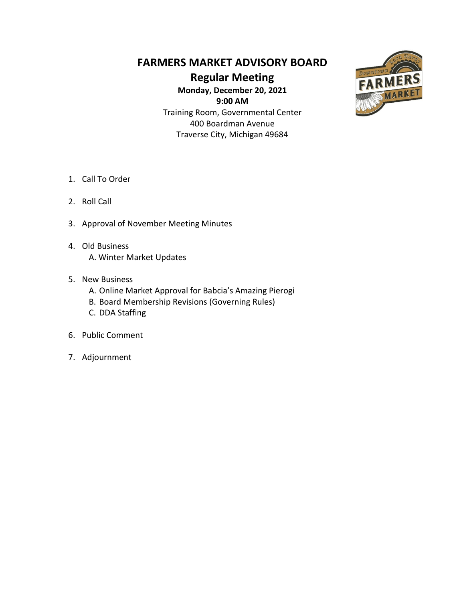## **FARMERS MARKET ADVISORY BOARD**

**Regular Meeting**

**Monday, December 20, 2021 9:00 AM** Training Room, Governmental Center 400 Boardman Avenue Traverse City, Michigan 49684



- 1. Call To Order
- 2. Roll Call
- 3. Approval of November Meeting Minutes
- 4. Old Business A. Winter Market Updates
- 5. New Business
	- A. Online Market Approval for Babcia's Amazing Pierogi
	- B. Board Membership Revisions (Governing Rules)
	- C. DDA Staffing
- 6. Public Comment
- 7. Adjournment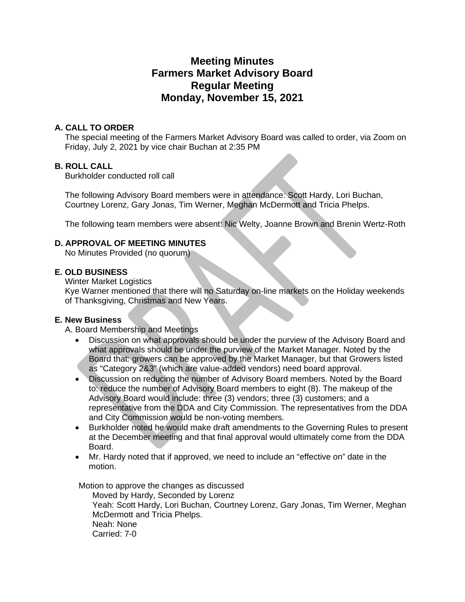## **Meeting Minutes Farmers Market Advisory Board Regular Meeting Monday, November 15, 2021**

#### **A. CALL TO ORDER**

The special meeting of the Farmers Market Advisory Board was called to order, via Zoom on Friday, July 2, 2021 by vice chair Buchan at 2:35 PM

#### **B. ROLL CALL**

Burkholder conducted roll call

The following Advisory Board members were in attendance: Scott Hardy, Lori Buchan, Courtney Lorenz, Gary Jonas, Tim Werner, Meghan McDermott and Tricia Phelps.

The following team members were absent: Nic Welty, Joanne Brown and Brenin Wertz-Roth

#### **D. APPROVAL OF MEETING MINUTES**

No Minutes Provided (no quorum)

#### **E. OLD BUSINESS**

Winter Market Logistics

Kye Warner mentioned that there will no Saturday on-line markets on the Holiday weekends of Thanksgiving, Christmas and New Years.

#### **E. New Business**

A. Board Membership and Meetings

- Discussion on what approvals should be under the purview of the Advisory Board and what approvals should be under the purview of the Market Manager. Noted by the Board that: growers can be approved by the Market Manager, but that Growers listed as "Category 2&3" (which are value-added vendors) need board approval.
- Discussion on reducing the number of Advisory Board members. Noted by the Board to: reduce the number of Advisory Board members to eight (8). The makeup of the Advisory Board would include: three (3) vendors; three (3) customers; and a representative from the DDA and City Commission. The representatives from the DDA and City Commission would be non-voting members.
- Burkholder noted he would make draft amendments to the Governing Rules to present at the December meeting and that final approval would ultimately come from the DDA Board.
- Mr. Hardy noted that if approved, we need to include an "effective on" date in the motion.

Motion to approve the changes as discussed

Moved by Hardy, Seconded by Lorenz Yeah: Scott Hardy, Lori Buchan, Courtney Lorenz, Gary Jonas, Tim Werner, Meghan McDermott and Tricia Phelps. Neah: None Carried: 7-0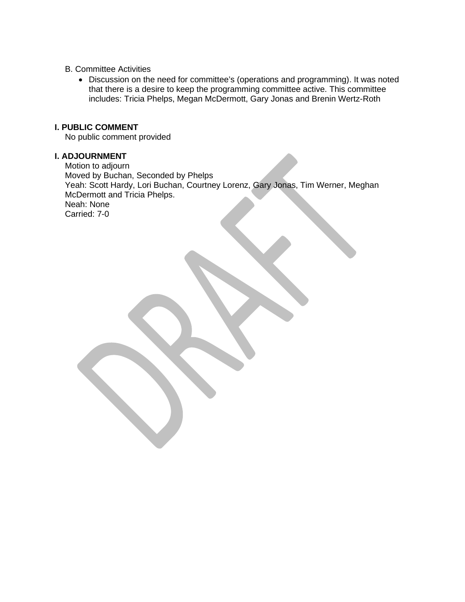#### B. Committee Activities

• Discussion on the need for committee's (operations and programming). It was noted that there is a desire to keep the programming committee active. This committee includes: Tricia Phelps, Megan McDermott, Gary Jonas and Brenin Wertz-Roth

#### **I. PUBLIC COMMENT**

No public comment provided

#### **I. ADJOURNMENT**

Motion to adjourn Moved by Buchan, Seconded by Phelps Yeah: Scott Hardy, Lori Buchan, Courtney Lorenz, Gary Jonas, Tim Werner, Meghan McDermott and Tricia Phelps. Neah: None Carried: 7-0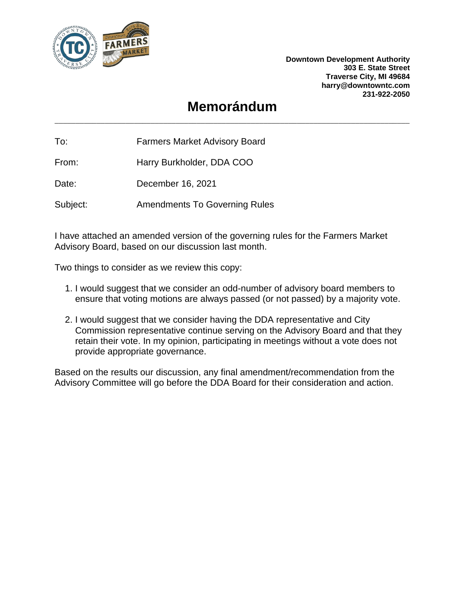

**Downtown Development Authority 303 E. State Street Traverse City, MI 49684 harry@downtowntc.com 231-922-2050**

## **Memorándum**

To: Farmers Market Advisory Board

From: Harry Burkholder, DDA COO

Date: December 16, 2021

Subject: Amendments To Governing Rules

I have attached an amended version of the governing rules for the Farmers Market Advisory Board, based on our discussion last month.

Two things to consider as we review this copy:

- 1. I would suggest that we consider an odd-number of advisory board members to ensure that voting motions are always passed (or not passed) by a majority vote.
- 2. I would suggest that we consider having the DDA representative and City Commission representative continue serving on the Advisory Board and that they retain their vote. In my opinion, participating in meetings without a vote does not provide appropriate governance.

Based on the results our discussion, any final amendment/recommendation from the Advisory Committee will go before the DDA Board for their consideration and action.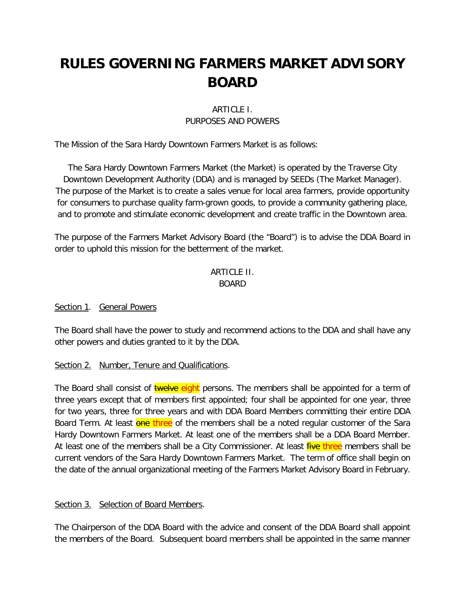# **RULES GOVERNING FARMERS MARKET ADVISORY BOARD**

#### ARTICLE I. PURPOSES AND POWERS

The Mission of the Sara Hardy Downtown Farmers Market is as follows:

The Sara Hardy Downtown Farmers Market (the Market) is operated by the Traverse City Downtown Development Authority (DDA) and is managed by SEEDs (The Market Manager). The purpose of the Market is to create a sales venue for local area farmers, provide opportunity for consumers to purchase quality farm-grown goods, to provide a community gathering place, and to promote and stimulate economic development and create traffic in the Downtown area.

The purpose of the Farmers Market Advisory Board (the "Board") is to advise the DDA Board in order to uphold this mission for the betterment of the market.

#### ARTICLE II. BOARD

#### Section 1. General Powers

The Board shall have the power to study and recommend actions to the DDA and shall have any other powers and duties granted to it by the DDA.

#### Section 2. Number, Tenure and Qualifications.

The Board shall consist of **twelve eight** persons. The members shall be appointed for a term of three years except that of members first appointed; four shall be appointed for one year, three for two years, three for three years and with DDA Board Members committing their entire DDA Board Term. At least one three of the members shall be a noted regular customer of the Sara Hardy Downtown Farmers Market. At least one of the members shall be a DDA Board Member. At least one of the members shall be a City Commissioner. At least *five three* members shall be current vendors of the Sara Hardy Downtown Farmers Market. The term of office shall begin on the date of the annual organizational meeting of the Farmers Market Advisory Board in February.

#### Section 3. Selection of Board Members.

The Chairperson of the DDA Board with the advice and consent of the DDA Board shall appoint the members of the Board. Subsequent board members shall be appointed in the same manner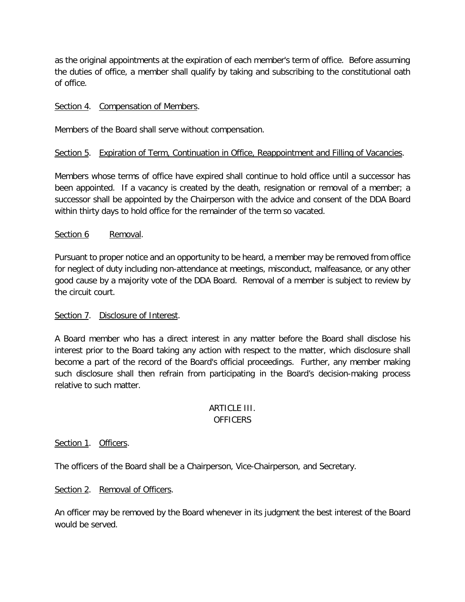as the original appointments at the expiration of each member's term of office. Before assuming the duties of office, a member shall qualify by taking and subscribing to the constitutional oath of office.

#### Section 4. Compensation of Members.

Members of the Board shall serve without compensation.

#### Section 5. Expiration of Term, Continuation in Office, Reappointment and Filling of Vacancies.

Members whose terms of office have expired shall continue to hold office until a successor has been appointed. If a vacancy is created by the death, resignation or removal of a member; a successor shall be appointed by the Chairperson with the advice and consent of the DDA Board within thirty days to hold office for the remainder of the term so vacated.

#### Section 6 Removal.

Pursuant to proper notice and an opportunity to be heard, a member may be removed from office for neglect of duty including non-attendance at meetings, misconduct, malfeasance, or any other good cause by a majority vote of the DDA Board. Removal of a member is subject to review by the circuit court.

#### Section 7. Disclosure of Interest.

A Board member who has a direct interest in any matter before the Board shall disclose his interest prior to the Board taking any action with respect to the matter, which disclosure shall become a part of the record of the Board's official proceedings. Further, any member making such disclosure shall then refrain from participating in the Board's decision-making process relative to such matter.

#### **ARTICLE III.** OFFICERS

#### Section 1. Officers.

The officers of the Board shall be a Chairperson, Vice-Chairperson, and Secretary.

#### Section 2. Removal of Officers.

An officer may be removed by the Board whenever in its judgment the best interest of the Board would be served.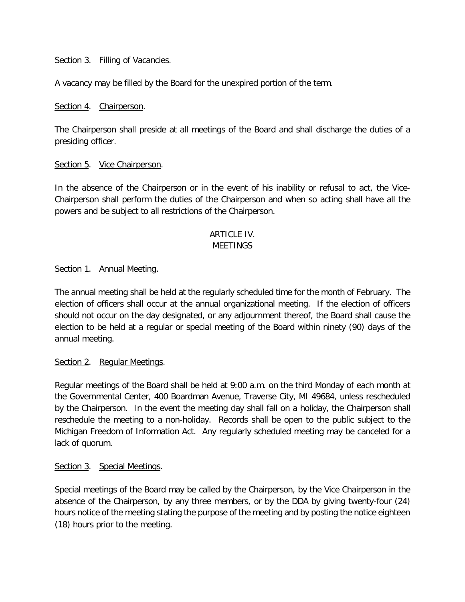#### Section 3. Filling of Vacancies.

A vacancy may be filled by the Board for the unexpired portion of the term.

#### Section 4. Chairperson.

The Chairperson shall preside at all meetings of the Board and shall discharge the duties of a presiding officer.

#### Section 5. Vice Chairperson.

In the absence of the Chairperson or in the event of his inability or refusal to act, the Vice-Chairperson shall perform the duties of the Chairperson and when so acting shall have all the powers and be subject to all restrictions of the Chairperson.

#### ARTICLE IV. **MEFTINGS**

#### Section 1. Annual Meeting.

The annual meeting shall be held at the regularly scheduled time for the month of February. The election of officers shall occur at the annual organizational meeting. If the election of officers should not occur on the day designated, or any adjournment thereof, the Board shall cause the election to be held at a regular or special meeting of the Board within ninety (90) days of the annual meeting.

#### Section 2. Regular Meetings.

Regular meetings of the Board shall be held at 9:00 a.m. on the third Monday of each month at the Governmental Center, 400 Boardman Avenue, Traverse City, MI 49684, unless rescheduled by the Chairperson. In the event the meeting day shall fall on a holiday, the Chairperson shall reschedule the meeting to a non-holiday. Records shall be open to the public subject to the Michigan Freedom of Information Act. Any regularly scheduled meeting may be canceled for a lack of quorum.

#### Section 3. Special Meetings.

Special meetings of the Board may be called by the Chairperson, by the Vice Chairperson in the absence of the Chairperson, by any three members, or by the DDA by giving twenty-four (24) hours notice of the meeting stating the purpose of the meeting and by posting the notice eighteen (18) hours prior to the meeting.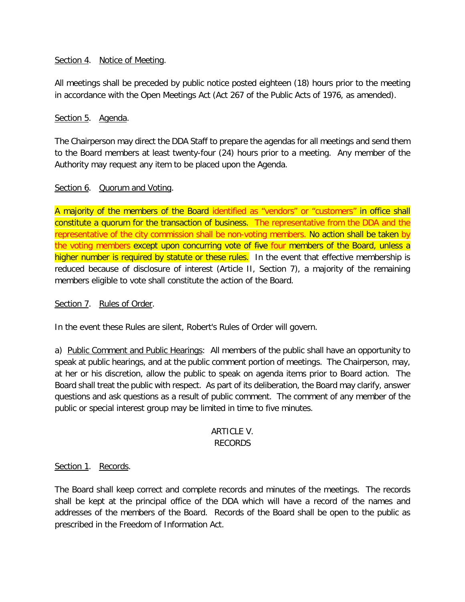#### Section 4. Notice of Meeting.

All meetings shall be preceded by public notice posted eighteen (18) hours prior to the meeting in accordance with the Open Meetings Act (Act 267 of the Public Acts of 1976, as amended).

#### Section 5. Agenda.

The Chairperson may direct the DDA Staff to prepare the agendas for all meetings and send them to the Board members at least twenty-four (24) hours prior to a meeting. Any member of the Authority may request any item to be placed upon the Agenda.

#### Section 6. Quorum and Voting.

A majority of the members of the Board identified as "vendors" or "customers" in office shall constitute a quorum for the transaction of business. The representative from the DDA and the representative of the city commission shall be non-voting members. No action shall be taken by the voting members except upon concurring vote of five four members of the Board, unless a higher number is required by statute or these rules. In the event that effective membership is reduced because of disclosure of interest (Article II, Section 7), a majority of the remaining members eligible to vote shall constitute the action of the Board.

#### Section 7. Rules of Order.

In the event these Rules are silent, Robert's Rules of Order will govern.

a) Public Comment and Public Hearings: All members of the public shall have an opportunity to speak at public hearings, and at the public comment portion of meetings. The Chairperson, may, at her or his discretion, allow the public to speak on agenda items prior to Board action. The Board shall treat the public with respect. As part of its deliberation, the Board may clarify, answer questions and ask questions as a result of public comment. The comment of any member of the public or special interest group may be limited in time to five minutes.

#### ARTICLE V. RECORDS

#### Section 1. Records.

The Board shall keep correct and complete records and minutes of the meetings. The records shall be kept at the principal office of the DDA which will have a record of the names and addresses of the members of the Board. Records of the Board shall be open to the public as prescribed in the Freedom of Information Act.